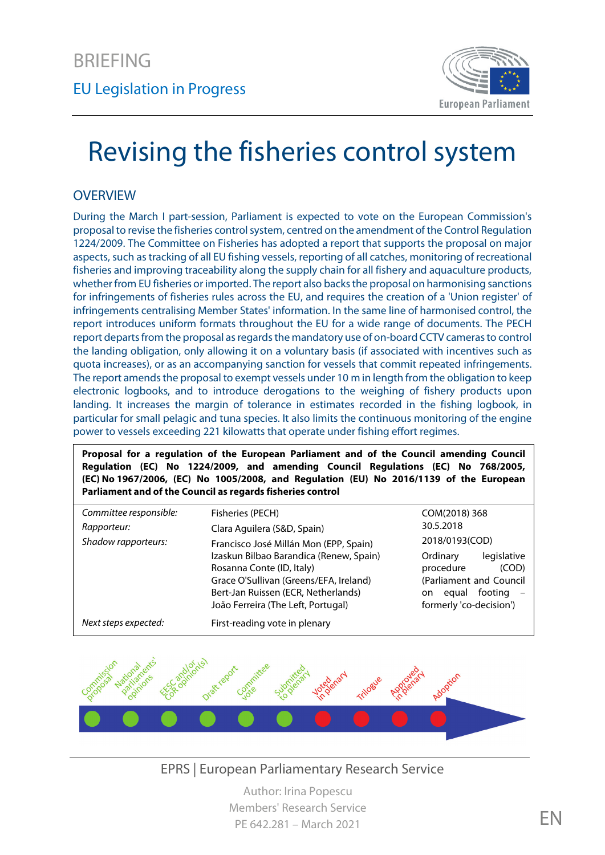

# Revising the fisheries control system

## **OVERVIEW**

During the March I part-session, Parliament is expected to vote on the European Commission's proposal to revise the fisheries control system, centred on the amendment of the Control Regulation 1224/2009. The Committee on Fisheries has adopted a report that supports the proposal on major aspects, such as tracking of all EU fishing vessels, reporting of all catches, monitoring of recreational fisheries and improving traceability along the supply chain for all fishery and aquaculture products, whether from EU fisheries or imported. The report also backs the proposal on harmonising sanctions for infringements of fisheries rules across the EU, and requires the creation of a 'Union register' of infringements centralising Member States' information. In the same line of harmonised control, the report introduces uniform formats throughout the EU for a wide range of documents. The PECH report departs from the proposal as regards the mandatory use of on-board CCTV cameras to control the landing obligation, only allowing it on a voluntary basis (if associated with incentives such as quota increases), or as an accompanying sanction for vessels that commit repeated infringements. The report amends the proposal to exempt vessels under 10 m in length from the obligation to keep electronic logbooks, and to introduce derogations to the weighing of fishery products upon landing. It increases the margin of tolerance in estimates recorded in the fishing logbook, in particular for small pelagic and tuna species. It also limits the continuous monitoring of the engine power to vessels exceeding 221 kilowatts that operate under fishing effort regimes.

**Proposal for a regulation of the European Parliament and of the Council amending Council Regulation (EC) No 1224/2009, and amending Council Regulations (EC) No 768/2005, (EC) No 1967/2006, (EC) No 1005/2008, and Regulation (EU) No 2016/1139 of the European Parliament and of the Council as regards fisheries control**

| Committee responsible: | Fisheries (PECH)                        | COM(2018) 368               |
|------------------------|-----------------------------------------|-----------------------------|
| Rapporteur:            | Clara Aguilera (S&D, Spain)             | 30.5.2018                   |
| Shadow rapporteurs:    | Francisco José Millán Mon (EPP, Spain)  | 2018/0193(COD)              |
|                        | Izaskun Bilbao Barandica (Renew, Spain) | legislative<br>Ordinary     |
|                        | Rosanna Conte (ID, Italy)               | procedure<br>(COD)          |
|                        | Grace O'Sullivan (Greens/EFA, Ireland)  | (Parliament and Council     |
|                        | Bert-Jan Ruissen (ECR, Netherlands)     | footing $-$<br>equal<br>on. |
|                        | João Ferreira (The Left, Portugal)      | formerly 'co-decision')     |
| Next steps expected:   | First-reading vote in plenary           |                             |



EPRS | European Parliamentary Research Service

Author: Irina Popescu Members' Research Service PE 642.281 – March 2021 EN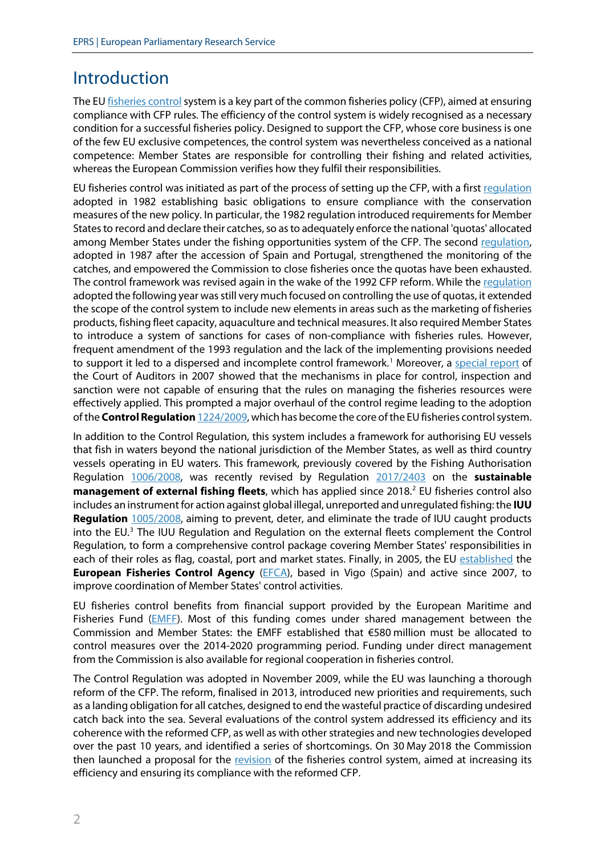# Introduction

The EU fisheries control system is a key part of the common fisheries policy (CFP), aimed at ensuring compliance with CFP rules. The efficiency of the control system is widely recognised as a necessary condition for a successful fisheries policy. Designed to support the CFP, whose core business is one of the few EU exclusive competences, the control system was nevertheless conceived as a national competence: Member States are responsible for controlling their fishing and related activities, whereas the European Commission verifies how they fulfil their responsibilities.

EU fisheries control was initiated as part of the process of setting up the CFP, with a firs[t regulation](https://eur-lex.europa.eu/legal-content/EN/TXT/?uri=CELEX:31982R2057) adopted in 1982 establishing basic obligations to ensure compliance with the conservation measures of the new policy. In particular, the 1982 regulation introduced requirements for Member States to record and declare their catches, so as to adequately enforce the national 'quotas' allocated among Member States under the fishing opportunities system of the CFP. The second [regulation,](https://eur-lex.europa.eu/legal-content/EN/TXT/?uri=CELEX:31987R2241) adopted in 1987 after the accession of Spain and Portugal, strengthened the monitoring of the catches, and empowered the Commission to close fisheries once the quotas have been exhausted. The control framework was revised again in the wake of the 1992 CFP reform. While the requlation adopted the following year was still very much focused on controlling the use of quotas, it extended the scope of the control system to include new elements in areas such as the marketing of fisheries products, fishing fleet capacity, aquaculture and technical measures. It also required Member States to introduce a system of sanctions for cases of non-compliance with fisheries rules. However, frequent amendment of the 1993 regulation and the lack of the implementing provisions needed to support it led to a dispersed and incomplete control framework.<sup>[1](#page-11-0)</sup> Moreover, a [special report](https://www.eca.europa.eu/Lists/ECADocuments/SR07_07/SR07_07_EN.PDF) of the Court of Auditors in 2007 showed that the mechanisms in place for control, inspection and sanction were not capable of ensuring that the rules on managing the fisheries resources were effectively applied. This prompted a major overhaul of the control regime leading to the adoption of the **Control Regulation** [1224/2009,](https://eur-lex.europa.eu/legal-content/EN/TXT/?uri=CELEX:02009R1224-20141213) which has become the core of the EUfisheries control system.

In addition to the Control Regulation, this system includes a framework for authorising EU vessels that fish in waters beyond the national jurisdiction of the Member States, as well as third country vessels operating in EU waters. This framework, previously covered by the Fishing Authorisation Regulation [1006/2008,](https://eur-lex.europa.eu/legal-content/EN/TXT/?uri=CELEX:32008R1006) was recently revised by Regulation [2017/2403](https://eur-lex.europa.eu/legal-content/EN/TXT/?uri=CELEX:32017R2403) on the **sustainable management of external fishing fleets**, which has applied since 2018. [2](#page-11-1) EU fisheries control also includes an instrument for action against global illegal, unreported and unregulated fishing: the **IUU Regulation** [1005/2008,](https://eur-lex.europa.eu/legal-content/EN/TXT/?uri=CELEX:02008R1005-20110309) aiming to prevent, deter, and eliminate the trade of IUU caught products into the EU. [3](#page-11-2) The IUU Regulation and Regulation on the external fleets complement the Control Regulation, to form a comprehensive control package covering Member States' responsibilities in each of their roles as flag, coastal, port and market states. Finally, in 2005, the EU [established](https://eur-lex.europa.eu/legal-content/EN/TXT/?uri=CELEX:32005R0768) the **European Fisheries Control Agency** [\(EFCA\)](https://www.efca.europa.eu/), based in Vigo (Spain) and active since 2007, to improve coordination of Member States' control activities.

EU fisheries control benefits from financial support provided by the European Maritime and Fisheries Fund [\(EMFF\)](https://eur-lex.europa.eu/legal-content/EN/TXT/?uri=CELEX:32014R0508). Most of this funding comes under shared management between the Commission and Member States: the EMFF established that €580 million must be allocated to control measures over the 2014-2020 programming period. Funding under direct management from the Commission is also available for regional cooperation in fisheries control.

The Control Regulation was adopted in November 2009, while the EU was launching a thorough reform of the CFP. The reform, finalised in 2013, introduced new priorities and requirements, such as a landing obligation for all catches, designed to end the wasteful practice of discarding undesired catch back into the sea. Several evaluations of the control system addressed its efficiency and its coherence with the reformed CFP, as well as with other strategies and new technologies developed over the past 10 years, and identified a series of shortcomings. On 30 May 2018 the Commission then launched a proposal for the [revision](https://oeil.secure.europarl.europa.eu/oeil/popups/ficheprocedure.do?lang=&reference=2018/0193(COD)) of the fisheries control system, aimed at increasing its efficiency and ensuring its compliance with the reformed CFP.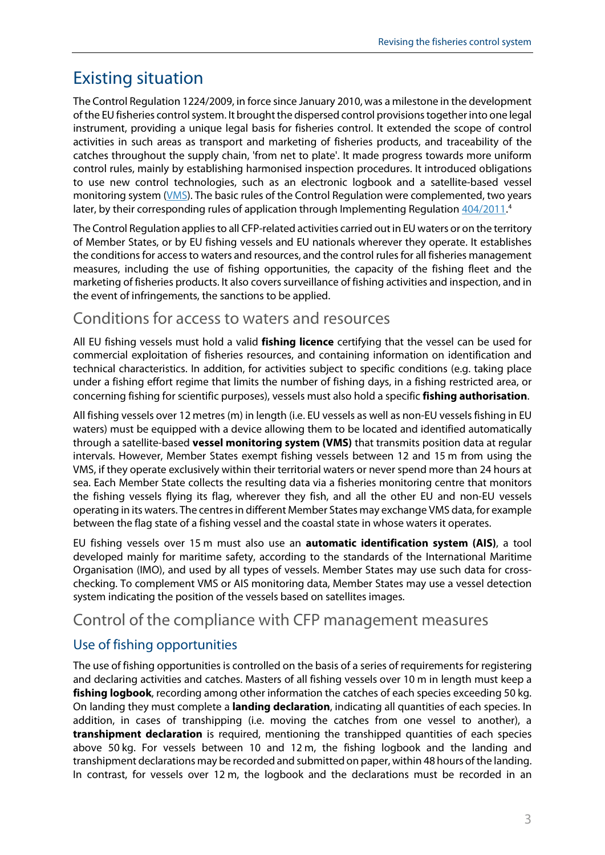# Existing situation

The Control Regulation 1224/2009, in force since January 2010, was a milestone in the development of the EU fisheries control system. It brought the dispersed control provisions together into one legal instrument, providing a unique legal basis for fisheries control. It extended the scope of control activities in such areas as transport and marketing of fisheries products, and traceability of the catches throughout the supply chain, 'from net to plate'. It made progress towards more uniform control rules, mainly by establishing harmonised inspection procedures. It introduced obligations to use new control technologies, such as an electronic logbook and a satellite-based vessel monitoring system [\(VMS\)](https://ec.europa.eu/fisheries/cfp/control/technologies_en). The basic rules of the Control Regulation were complemented, two years later, by their corresponding rules of application through Implementing Regulation [404/2011.](https://eur-lex.europa.eu/legal-content/EN/TXT/?uri=CELEX:02011R0404-20170101)<sup>[4](#page-11-3)</sup>

The Control Regulation applies to all CFP-related activities carried out in EU waters or on the territory of Member States, or by EU fishing vessels and EU nationals wherever they operate. It establishes the conditions for access to waters and resources, and the control rules for all fisheries management measures, including the use of fishing opportunities, the capacity of the fishing fleet and the marketing of fisheries products. It also covers surveillance of fishing activities and inspection, and in the event of infringements, the sanctions to be applied.

## Conditions for access to waters and resources

All EU fishing vessels must hold a valid **fishing licence** certifying that the vessel can be used for commercial exploitation of fisheries resources, and containing information on identification and technical characteristics. In addition, for activities subject to specific conditions (e.g. taking place under a fishing effort regime that limits the number of fishing days, in a fishing restricted area, or concerning fishing for scientific purposes), vessels must also hold a specific **fishing authorisation**.

All fishing vessels over 12 metres (m) in length (i.e. EU vessels as well as non-EU vessels fishing in EU waters) must be equipped with a device allowing them to be located and identified automatically through a satellite-based **vessel monitoring system (VMS)** that transmits position data at regular intervals. However, Member States exempt fishing vessels between 12 and 15 m from using the VMS, if they operate exclusively within their territorial waters or never spend more than 24 hours at sea. Each Member State collects the resulting data via a fisheries monitoring centre that monitors the fishing vessels flying its flag, wherever they fish, and all the other EU and non-EU vessels operating in its waters. The centres in different Member States may exchange VMS data, for example between the flag state of a fishing vessel and the coastal state in whose waters it operates.

EU fishing vessels over 15 m must also use an **automatic identification system (AIS)**, a tool developed mainly for maritime safety, according to the standards of the International Maritime Organisation (IMO), and used by all types of vessels. Member States may use such data for crosschecking. To complement VMS or AIS monitoring data, Member States may use a vessel detection system indicating the position of the vessels based on satellites images.

## Control of the compliance with CFP management measures

#### Use of fishing opportunities

The use of fishing opportunities is controlled on the basis of a series of requirements for registering and declaring activities and catches. Masters of all fishing vessels over 10 m in length must keep a **fishing logbook**, recording among other information the catches of each species exceeding 50 kg. On landing they must complete a **landing declaration**, indicating all quantities of each species. In addition, in cases of transhipping (i.e. moving the catches from one vessel to another), a **transhipment declaration** is required, mentioning the transhipped quantities of each species above 50 kg. For vessels between 10 and 12 m, the fishing logbook and the landing and transhipment declarations may be recorded and submitted on paper, within 48 hours of the landing. In contrast, for vessels over 12 m, the logbook and the declarations must be recorded in an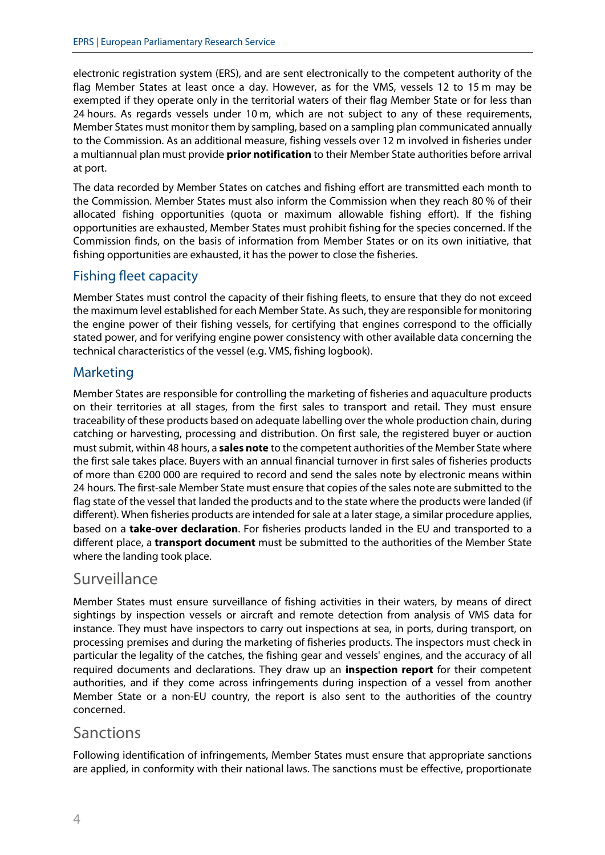electronic registration system (ERS), and are sent electronically to the competent authority of the flag Member States at least once a day. However, as for the VMS, vessels 12 to 15 m may be exempted if they operate only in the territorial waters of their flag Member State or for less than 24 hours. As regards vessels under 10 m, which are not subject to any of these requirements, Member States must monitor them by sampling, based on a sampling plan communicated annually to the Commission. As an additional measure, fishing vessels over 12 m involved in fisheries under a multiannual plan must provide **prior notification** to their Member State authorities before arrival at port.

The data recorded by Member States on catches and fishing effort are transmitted each month to the Commission. Member States must also inform the Commission when they reach 80 % of their allocated fishing opportunities (quota or maximum allowable fishing effort). If the fishing opportunities are exhausted, Member States must prohibit fishing for the species concerned. If the Commission finds, on the basis of information from Member States or on its own initiative, that fishing opportunities are exhausted, it has the power to close the fisheries.

#### Fishing fleet capacity

Member States must control the capacity of their fishing fleets, to ensure that they do not exceed the maximum level established for each Member State. As such, they are responsible for monitoring the engine power of their fishing vessels, for certifying that engines correspond to the officially stated power, and for verifying engine power consistency with other available data concerning the technical characteristics of the vessel (e.g. VMS, fishing logbook).

#### Marketing

Member States are responsible for controlling the marketing of fisheries and aquaculture products on their territories at all stages, from the first sales to transport and retail. They must ensure traceability of these products based on adequate labelling over the whole production chain, during catching or harvesting, processing and distribution. On first sale, the registered buyer or auction must submit, within 48 hours, a **sales note** to the competent authorities of the Member State where the first sale takes place. Buyers with an annual financial turnover in first sales of fisheries products of more than €200 000 are required to record and send the sales note by electronic means within 24 hours. The first-sale Member State must ensure that copies of the sales note are submitted to the flag state of the vessel that landed the products and to the state where the products were landed (if different). When fisheries products are intended for sale at a later stage, a similar procedure applies, based on a **take-over declaration**. For fisheries products landed in the EU and transported to a different place, a **transport document** must be submitted to the authorities of the Member State where the landing took place.

## Surveillance

Member States must ensure surveillance of fishing activities in their waters, by means of direct sightings by inspection vessels or aircraft and remote detection from analysis of VMS data for instance. They must have inspectors to carry out inspections at sea, in ports, during transport, on processing premises and during the marketing of fisheries products. The inspectors must check in particular the legality of the catches, the fishing gear and vessels' engines, and the accuracy of all required documents and declarations. They draw up an **inspection report** for their competent authorities, and if they come across infringements during inspection of a vessel from another Member State or a non-EU country, the report is also sent to the authorities of the country concerned.

#### **Sanctions**

Following identification of infringements, Member States must ensure that appropriate sanctions are applied, in conformity with their national laws. The sanctions must be effective, proportionate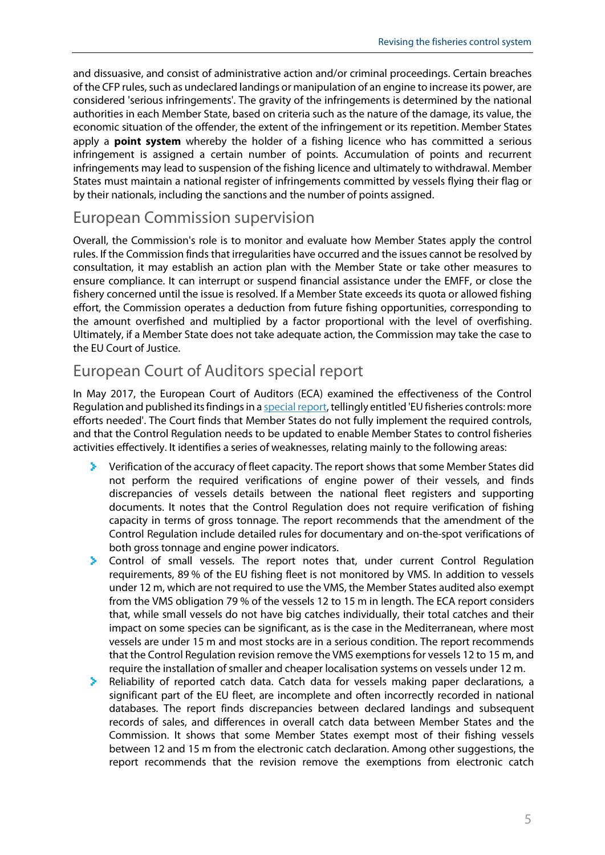and dissuasive, and consist of administrative action and/or criminal proceedings. Certain breaches of the CFP rules, such as undeclared landings or manipulation of an engine to increase its power, are considered 'serious infringements'. The gravity of the infringements is determined by the national authorities in each Member State, based on criteria such as the nature of the damage, its value, the economic situation of the offender, the extent of the infringement or its repetition. Member States apply a **point system** whereby the holder of a fishing licence who has committed a serious infringement is assigned a certain number of points. Accumulation of points and recurrent infringements may lead to suspension of the fishing licence and ultimately to withdrawal. Member States must maintain a national register of infringements committed by vessels flying their flag or by their nationals, including the sanctions and the number of points assigned.

#### European Commission supervision

Overall, the Commission's role is to monitor and evaluate how Member States apply the control rules. If the Commission finds that irregularities have occurred and the issues cannot be resolved by consultation, it may establish an action plan with the Member State or take other measures to ensure compliance. It can interrupt or suspend financial assistance under the EMFF, or close the fishery concerned until the issue is resolved. If a Member State exceeds its quota or allowed fishing effort, the Commission operates a deduction from future fishing opportunities, corresponding to the amount overfished and multiplied by a factor proportional with the level of overfishing. Ultimately, if a Member State does not take adequate action, the Commission may take the case to the EU Court of Justice.

## European Court of Auditors special report

In May 2017, the European Court of Auditors (ECA) examined the effectiveness of the Control Regulation and published its findings in [a special report,](https://www.eca.europa.eu/en/Pages/DocItem.aspx?did=41459) tellingly entitled 'EU fisheries controls: more efforts needed'. The Court finds that Member States do not fully implement the required controls, and that the Control Regulation needs to be updated to enable Member States to control fisheries activities effectively. It identifies a series of weaknesses, relating mainly to the following areas:

- $\blacktriangleright$  Verification of the accuracy of fleet capacity. The report shows that some Member States did not perform the required verifications of engine power of their vessels, and finds discrepancies of vessels details between the national fleet registers and supporting documents. It notes that the Control Regulation does not require verification of fishing capacity in terms of gross tonnage. The report recommends that the amendment of the Control Regulation include detailed rules for documentary and on-the-spot verifications of both gross tonnage and engine power indicators.
- Control of small vessels. The report notes that, under current Control Regulation requirements, 89 % of the EU fishing fleet is not monitored by VMS. In addition to vessels under 12 m, which are not required to use the VMS, the Member States audited also exempt from the VMS obligation 79 % of the vessels 12 to 15 m in length. The ECA report considers that, while small vessels do not have big catches individually, their total catches and their impact on some species can be significant, as is the case in the Mediterranean, where most vessels are under 15 m and most stocks are in a serious condition. The report recommends that the Control Regulation revision remove the VMS exemptions for vessels 12 to 15 m, and require the installation of smaller and cheaper localisation systems on vessels under 12 m.
- **A** Reliability of reported catch data. Catch data for vessels making paper declarations, a significant part of the EU fleet, are incomplete and often incorrectly recorded in national databases. The report finds discrepancies between declared landings and subsequent records of sales, and differences in overall catch data between Member States and the Commission. It shows that some Member States exempt most of their fishing vessels between 12 and 15 m from the electronic catch declaration. Among other suggestions, the report recommends that the revision remove the exemptions from electronic catch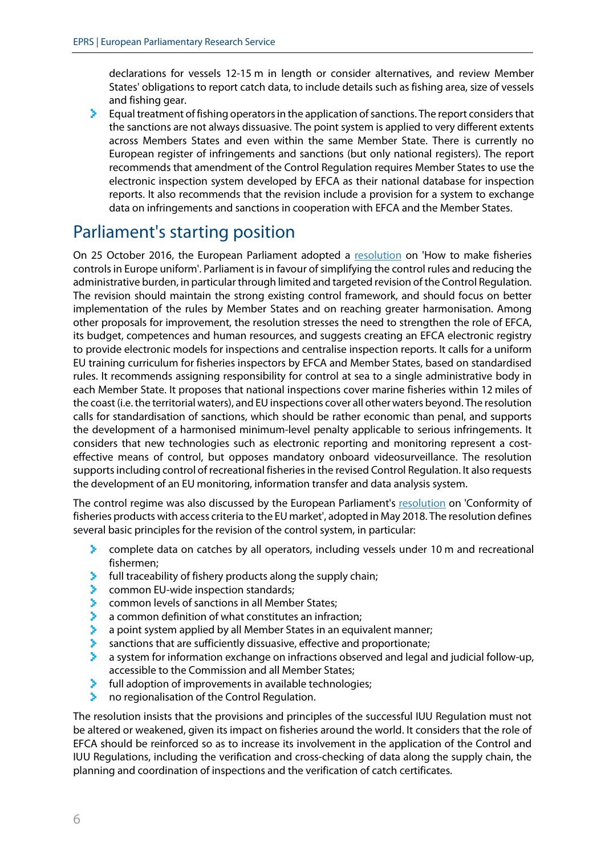declarations for vessels 12-15 m in length or consider alternatives, and review Member States' obligations to report catch data, to include details such as fishing area, size of vessels and fishing gear.

Equal treatment of fishing operators in the application of sanctions. The report considers that ≻ the sanctions are not always dissuasive. The point system is applied to very different extents across Members States and even within the same Member State. There is currently no European register of infringements and sanctions (but only national registers). The report recommends that amendment of the Control Regulation requires Member States to use the electronic inspection system developed by EFCA as their national database for inspection reports. It also recommends that the revision include a provision for a system to exchange data on infringements and sanctions in cooperation with EFCA and the Member States.

# Parliament's starting position

On 25 October 2016, the European Parliament adopted a [resolution](http://www.europarl.europa.eu/sides/getDoc.do?type=TA&language=EN&reference=P8-TA-2016-0407) on 'How to make fisheries controls in Europe uniform'. Parliament is in favour of simplifying the control rules and reducing the administrative burden, in particular through limited and targeted revision of the Control Regulation. The revision should maintain the strong existing control framework, and should focus on better implementation of the rules by Member States and on reaching greater harmonisation. Among other proposals for improvement, the resolution stresses the need to strengthen the role of EFCA, its budget, competences and human resources, and suggests creating an EFCA electronic registry to provide electronic models for inspections and centralise inspection reports. It calls for a uniform EU training curriculum for fisheries inspectors by EFCA and Member States, based on standardised rules. It recommends assigning responsibility for control at sea to a single administrative body in each Member State. It proposes that national inspections cover marine fisheries within 12 miles of the coast (i.e. the territorial waters), and EU inspections cover all other waters beyond. The resolution calls for standardisation of sanctions, which should be rather economic than penal, and supports the development of a harmonised minimum-level penalty applicable to serious infringements. It considers that new technologies such as electronic reporting and monitoring represent a costeffective means of control, but opposes mandatory onboard videosurveillance. The resolution supports including control of recreational fisheries in the revised Control Regulation. It also requests the development of an EU monitoring, information transfer and data analysis system.

The control regime was also discussed by the European Parliament's [resolution](https://www.europarl.europa.eu/doceo/document/TA-8-2018-0223_EN.html?redirect) on 'Conformity of fisheries products with access criteria to the EU market', adopted in May 2018. The resolution defines several basic principles for the revision of the control system, in particular:

- У. complete data on catches by all operators, including vessels under 10 m and recreational fishermen;
- $\blacktriangleright$  full traceability of fishery products along the supply chain;
- У common EU-wide inspection standards;
- ×. common levels of sanctions in all Member States;
- × a common definition of what constitutes an infraction;
- Š. a point system applied by all Member States in an equivalent manner;
- s. sanctions that are sufficiently dissuasive, effective and proportionate;
- У a system for information exchange on infractions observed and legal and judicial follow-up, accessible to the Commission and all Member States;
- Š. full adoption of improvements in available technologies;
- ×. no regionalisation of the Control Regulation.

The resolution insists that the provisions and principles of the successful IUU Regulation must not be altered or weakened, given its impact on fisheries around the world. It considers that the role of EFCA should be reinforced so as to increase its involvement in the application of the Control and IUU Regulations, including the verification and cross-checking of data along the supply chain, the planning and coordination of inspections and the verification of catch certificates.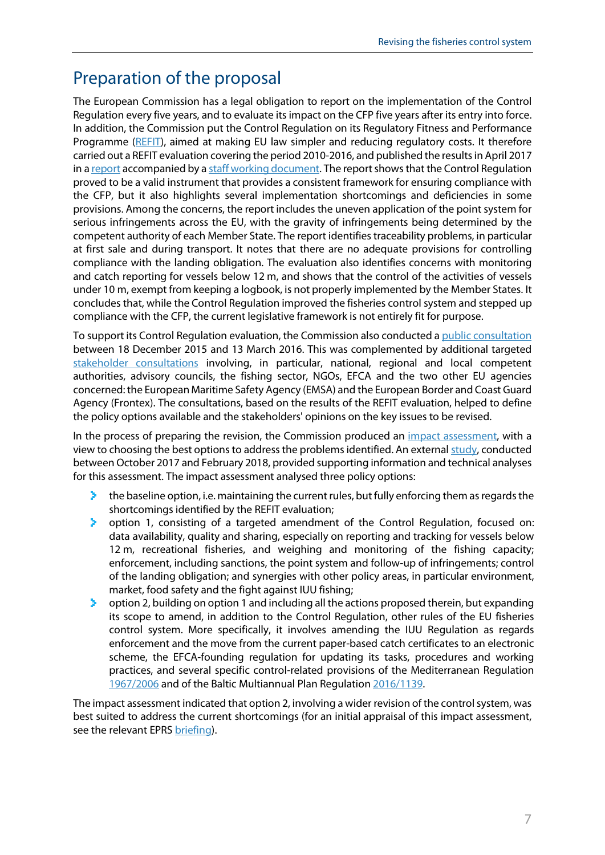## Preparation of the proposal

The European Commission has a legal obligation to report on the implementation of the Control Regulation every five years, and to evaluate its impact on the CFP five years after its entry into force. In addition, the Commission put the Control Regulation on its Regulatory Fitness and Performance Programme [\(REFIT\)](https://ec.europa.eu/info/law/law-making-process/evaluating-and-improving-existing-laws/refit-making-eu-law-simpler-and-less-costly_en), aimed at making EU law simpler and reducing regulatory costs. It therefore carried out a REFIT evaluation covering the period 2010-2016, and published the results in April 2017 in [a report](https://eur-lex.europa.eu/legal-content/EN/TXT/?uri=CELEX:52017DC0192) accompanied by [a staff working document.](https://eur-lex.europa.eu/legal-content/EN/TXT/?uri=CELEX:52017SC0134) The report shows that the Control Regulation proved to be a valid instrument that provides a consistent framework for ensuring compliance with the CFP, but it also highlights several implementation shortcomings and deficiencies in some provisions. Among the concerns, the report includes the uneven application of the point system for serious infringements across the EU, with the gravity of infringements being determined by the competent authority of each Member State. The report identifies traceability problems, in particular at first sale and during transport. It notes that there are no adequate provisions for controlling compliance with the landing obligation. The evaluation also identifies concerns with monitoring and catch reporting for vessels below 12 m, and shows that the control of the activities of vessels under 10 m, exempt from keeping a logbook, is not properly implemented by the Member States. It concludes that, while the Control Regulation improved the fisheries control system and stepped up compliance with the CFP, the current legislative framework is not entirely fit for purpose.

To support its Control Regulation evaluation, the Commission also conducted a [public consultation](https://ec.europa.eu/info/consultations/evaluation-fisheries-control-regulation_en#references) between 18 December 2015 and 13 March 2016. This was complemented by additional targeted [stakeholder consultations](https://ec.europa.eu/fisheries/cfp/control_en) involving, in particular, national, regional and local competent authorities, advisory councils, the fishing sector, NGOs, EFCA and the two other EU agencies concerned: the European Maritime Safety Agency (EMSA) and the European Border and Coast Guard Agency (Frontex). The consultations, based on the results of the REFIT evaluation, helped to define the policy options available and the stakeholders' opinions on the key issues to be revised.

In the process of preparing the revision, the Commission produced an *impact assessment*, with a view to choosing the best options to address the problems identified. An external [study,](https://publications.europa.eu/en/publication-detail/-/publication/e0f39f5c-63b6-11e8-ab9c-01aa75ed71a1/language-en) conducted between October 2017 and February 2018, provided supporting information and technical analyses for this assessment. The impact assessment analysed three policy options:

- $\blacktriangleright$  the baseline option, i.e. maintaining the current rules, but fully enforcing them as regards the shortcomings identified by the REFIT evaluation;
- option 1, consisting of a targeted amendment of the Control Regulation, focused on: data availability, quality and sharing, especially on reporting and tracking for vessels below 12 m, recreational fisheries, and weighing and monitoring of the fishing capacity; enforcement, including sanctions, the point system and follow-up of infringements; control of the landing obligation; and synergies with other policy areas, in particular environment, market, food safety and the fight against IUU fishing;
- ⋗. option 2, building on option 1 and including all the actions proposed therein, but expanding its scope to amend, in addition to the Control Regulation, other rules of the EU fisheries control system. More specifically, it involves amending the IUU Regulation as regards enforcement and the move from the current paper-based catch certificates to an electronic scheme, the EFCA-founding regulation for updating its tasks, procedures and working practices, and several specific control-related provisions of the Mediterranean Regulation [1967/2006](https://eur-lex.europa.eu/legal-content/EN/TXT/?uri=CELEX:02006R1967-20190715) and of the Baltic Multiannual Plan Regulation [2016/1139.](https://eur-lex.europa.eu/legal-content/EN/TXT/?uri=CELEX:02016R1139-20190814)

The impact assessment indicated that option 2, involving a wider revision of the control system, was best suited to address the current shortcomings (for an initial appraisal of this impact assessment, see the relevant EPRS [briefing\)](http://www.europarl.europa.eu/thinktank/en/document.html?reference=EPRS_BRI(2018)627132).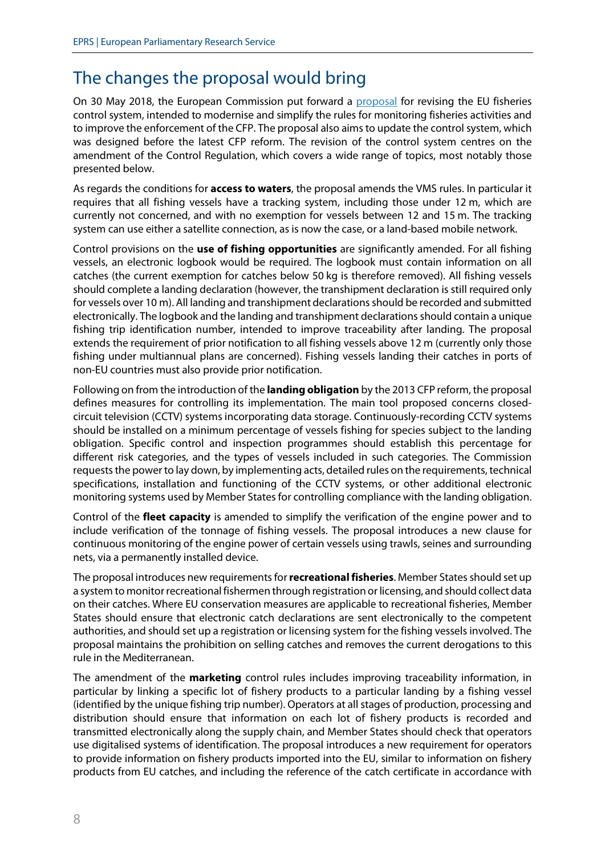# The changes the proposal would bring

On 30 May 2018, the European Commission put forward a [proposal](https://eur-lex.europa.eu/legal-content/EN/TXT/?uri=CELEX:52018PC0368) for revising the EU fisheries control system, intended to modernise and simplify the rules for monitoring fisheries activities and to improve the enforcement of the CFP. The proposal also aims to update the control system, which was designed before the latest CFP reform. The revision of the control system centres on the amendment of the Control Regulation, which covers a wide range of topics, most notably those presented below.

As regards the conditions for **access to waters**, the proposal amends the VMS rules. In particular it requires that all fishing vessels have a tracking system, including those under 12 m, which are currently not concerned, and with no exemption for vessels between 12 and 15 m. The tracking system can use either a satellite connection, as is now the case, or a land-based mobile network.

Control provisions on the **use of fishing opportunities** are significantly amended. For all fishing vessels, an electronic logbook would be required. The logbook must contain information on all catches (the current exemption for catches below 50 kg is therefore removed). All fishing vessels should complete a landing declaration (however, the transhipment declaration is still required only for vessels over 10 m). All landing and transhipment declarations should be recorded and submitted electronically. The logbook and the landing and transhipment declarationsshould contain a unique fishing trip identification number, intended to improve traceability after landing. The proposal extends the requirement of prior notification to all fishing vessels above 12 m (currently only those fishing under multiannual plans are concerned). Fishing vessels landing their catches in ports of non-EU countries must also provide prior notification.

Following on from the introduction of the **landing obligation** by the 2013 CFP reform, the proposal defines measures for controlling its implementation. The main tool proposed concerns closedcircuit television (CCTV) systems incorporating data storage. Continuously-recording CCTV systems should be installed on a minimum percentage of vessels fishing for species subject to the landing obligation. Specific control and inspection programmes should establish this percentage for different risk categories, and the types of vessels included in such categories. The Commission requests the power to lay down, by implementing acts, detailed rules on the requirements, technical specifications, installation and functioning of the CCTV systems, or other additional electronic monitoring systems used by Member States for controlling compliance with the landing obligation.

Control of the **fleet capacity** is amended to simplify the verification of the engine power and to include verification of the tonnage of fishing vessels. The proposal introduces a new clause for continuous monitoring of the engine power of certain vessels using trawls, seines and surrounding nets, via a permanently installed device.

The proposal introduces new requirements for **recreational fisheries**. Member States should set up a system to monitor recreational fishermen through registration or licensing, and should collect data on their catches. Where EU conservation measures are applicable to recreational fisheries, Member States should ensure that electronic catch declarations are sent electronically to the competent authorities, and should set up a registration or licensing system for the fishing vessels involved. The proposal maintains the prohibition on selling catches and removes the current derogations to this rule in the Mediterranean.

The amendment of the **marketing** control rules includes improving traceability information, in particular by linking a specific lot of fishery products to a particular landing by a fishing vessel (identified by the unique fishing trip number). Operators at all stages of production, processing and distribution should ensure that information on each lot of fishery products is recorded and transmitted electronically along the supply chain, and Member States should check that operators use digitalised systems of identification. The proposal introduces a new requirement for operators to provide information on fishery products imported into the EU, similar to information on fishery products from EU catches, and including the reference of the catch certificate in accordance with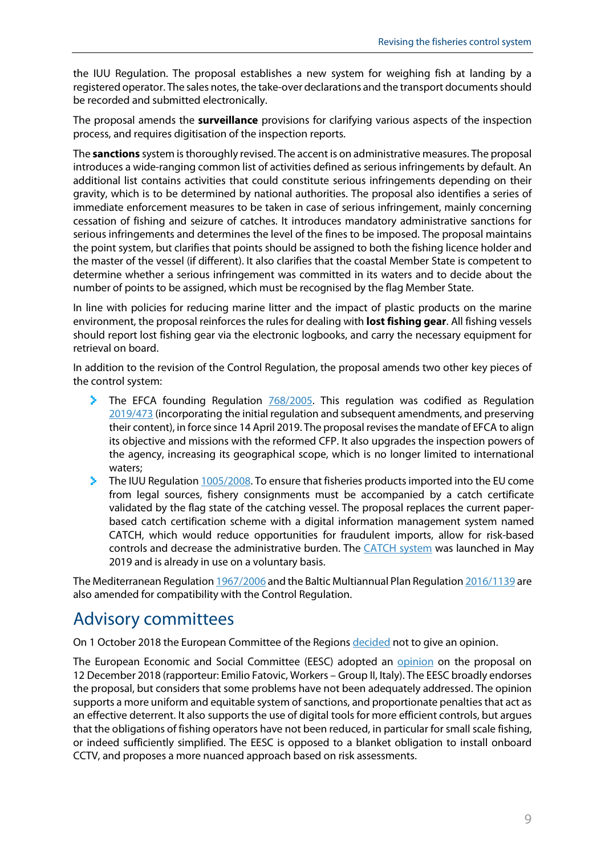the IUU Regulation. The proposal establishes a new system for weighing fish at landing by a registered operator. The sales notes, the take-over declarations and the transport documents should be recorded and submitted electronically.

The proposal amends the **surveillance** provisions for clarifying various aspects of the inspection process, and requires digitisation of the inspection reports.

The **sanctions** system is thoroughly revised. The accent is on administrative measures. The proposal introduces a wide-ranging common list of activities defined as serious infringements by default. An additional list contains activities that could constitute serious infringements depending on their gravity, which is to be determined by national authorities. The proposal also identifies a series of immediate enforcement measures to be taken in case of serious infringement, mainly concerning cessation of fishing and seizure of catches. It introduces mandatory administrative sanctions for serious infringements and determines the level of the fines to be imposed. The proposal maintains the point system, but clarifies that points should be assigned to both the fishing licence holder and the master of the vessel (if different). It also clarifies that the coastal Member State is competent to determine whether a serious infringement was committed in its waters and to decide about the number of points to be assigned, which must be recognised by the flag Member State.

In line with policies for reducing marine litter and the impact of plastic products on the marine environment, the proposal reinforces the rules for dealing with **lost fishing gear**. All fishing vessels should report lost fishing gear via the electronic logbooks, and carry the necessary equipment for retrieval on board.

In addition to the revision of the Control Regulation, the proposal amends two other key pieces of the control system:

- The EFCA founding Regulation [768/2005.](https://eur-lex.europa.eu/legal-content/EN/TXT/?uri=CELEX:32005R0768) This regulation was codified as Regulation [2019/473](https://eur-lex.europa.eu/legal-content/en/TXT/?uri=CELEX:32019R0473#ntc1-L_2019083EN.01001801-E0001) (incorporating the initial regulation and subsequent amendments, and preserving their content), in force since 14 April 2019. The proposal revises the mandate of EFCA to align its objective and missions with the reformed CFP. It also upgrades the inspection powers of the agency, increasing its geographical scope, which is no longer limited to international waters;
- The IUU Regulation  $1005/2008$ . To ensure that fisheries products imported into the EU come from legal sources, fishery consignments must be accompanied by a catch certificate validated by the flag state of the catching vessel. The proposal replaces the current paperbased catch certification scheme with a digital information management system named CATCH, which would reduce opportunities for fraudulent imports, allow for risk-based controls and decrease the administrative burden. The [CATCH system](https://ec.europa.eu/fisheries/sites/fisheries/files/docs/body/catch-it-system_en.pdf) was launched in May 2019 and is already in use on a voluntary basis.

The Mediterranean Regulatio[n 1967/2006](https://eur-lex.europa.eu/legal-content/EN/TXT/?uri=CELEX:02006R1967-20190715) and the Baltic Multiannual Plan Regulatio[n 2016/1139](https://eur-lex.europa.eu/legal-content/EN/TXT/?uri=CELEX:02016R1139-20190814) are also amended for compatibility with the Control Regulation.

# Advisory committees

On 1 October 2018 the European Committee of the Regions [decided](https://memportal.cor.europa.eu/Handlers/ViewDoc.ashx?pdf=true&doc=COR-2018-04783-00-02-PV-TRA-EN.docx) not to give an opinion.

The European Economic and Social Committee (EESC) adopted an [opinion](https://www.eesc.europa.eu/en/our-work/opinions-information-reports/opinions/fisheries-control) on the proposal on 12 December 2018 (rapporteur: Emilio Fatovic, Workers – Group II, Italy). The EESC broadly endorses the proposal, but considers that some problems have not been adequately addressed. The opinion supports a more uniform and equitable system of sanctions, and proportionate penalties that act as an effective deterrent. It also supports the use of digital tools for more efficient controls, but argues that the obligations of fishing operators have not been reduced, in particular for small scale fishing, or indeed sufficiently simplified. The EESC is opposed to a blanket obligation to install onboard CCTV, and proposes a more nuanced approach based on risk assessments.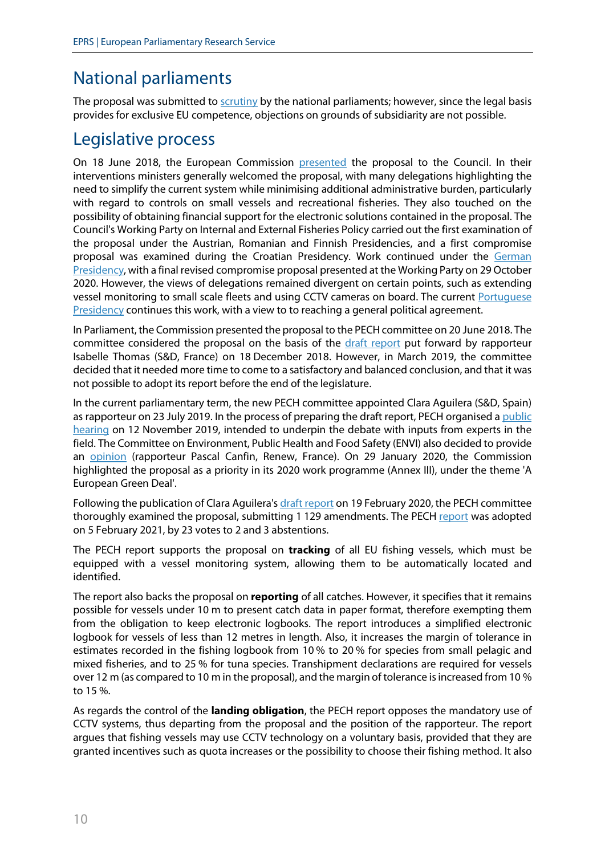# National parliaments

The proposal was submitted to [scrutiny](https://secure.ipex.eu/IPEXL-WEB/dossier/document/COM20180368.do#dossier-COD20180193) by the national parliaments; however, since the legal basis provides for exclusive EU competence, objections on grounds of subsidiarity are not possible.

## Legislative process

On 18 June 2018, the European Commission [presented](https://www.consilium.europa.eu/media/35698/st10200-en18.pdf) the proposal to the Council. In their interventions ministers generally welcomed the proposal, with many delegations highlighting the need to simplify the current system while minimising additional administrative burden, particularly with regard to controls on small vessels and recreational fisheries. They also touched on the possibility of obtaining financial support for the electronic solutions contained in the proposal. The Council's Working Party on Internal and External Fisheries Policy carried out the first examination of the proposal under the Austrian, Romanian and Finnish Presidencies, and a first compromise proposal was examined during the Croatian Presidency. Work continued under the German [Presidency,](https://data.consilium.europa.eu/doc/document/ST-13087-2020-INIT/en/pdf) with a final revised compromise proposal presented at the Working Party on 29 October 2020. However, the views of delegations remained divergent on certain points, such as extending vessel monitoring to small scale fleets and using CCTV cameras on board. The current [Portuguese](https://www.europarl.europa.eu/news/en/press-room/20210122IPR96228/portuguese-presidency-outlines-priorities-to-ep-committees)  [Presidency](https://www.europarl.europa.eu/news/en/press-room/20210122IPR96228/portuguese-presidency-outlines-priorities-to-ep-committees) continues this work, with a view to to reaching a general political agreement.

In Parliament, the Commission presented the proposal to the PECH committee on 20 June 2018. The committee considered the proposal on the basis of the [draft report](https://www.europarl.europa.eu/doceo/document/PECH-PR-627839_EN.html?redirect) put forward by rapporteur Isabelle Thomas (S&D, France) on 18 December 2018. However, in March 2019, the committee decided that it needed more time to come to a satisfactory and balanced conclusion, and that it was not possible to adopt its report before the end of the legislature.

In the current parliamentary term, the new PECH committee appointed Clara Aguilera (S&D, Spain) as rapporteur on 23 July 2019. In the process of preparing the draft report, PECH organised a public [hearing](https://www.europarl.europa.eu/committees/en/public-hearing-facing-the-new-challenges/product-details/20191021CHE06361) on 12 November 2019, intended to underpin the debate with inputs from experts in the field. The Committee on Environment, Public Health and Food Safety (ENVI) also decided to provide an [opinion](https://www.europarl.europa.eu/doceo/document/ENVI-AD-647141_EN.pdf) (rapporteur Pascal Canfin, Renew, France). On 29 January 2020, the Commission highlighted the proposal as a priority in its 2020 work programme (Annex III), under the theme 'A European Green Deal'.

Following the publication of Clara Aguilera'[s draft report](https://www.europarl.europa.eu/doceo/document/PECH-PR-647060_EN.html?redirect) on 19 February 2020, the PECH committee thoroughly examined the proposal, submitting 1 129 amendments. The PECH [report](https://www.europarl.europa.eu/doceo/document/A-9-2021-0016_EN.html) was adopted on 5 February 2021, by 23 votes to 2 and 3 abstentions.

The PECH report supports the proposal on **tracking** of all EU fishing vessels, which must be equipped with a vessel monitoring system, allowing them to be automatically located and identified.

The report also backs the proposal on **reporting** of all catches. However, it specifies that it remains possible for vessels under 10 m to present catch data in paper format, therefore exempting them from the obligation to keep electronic logbooks. The report introduces a simplified electronic logbook for vessels of less than 12 metres in length. Also, it increases the margin of tolerance in estimates recorded in the fishing logbook from 10 % to 20 % for species from small pelagic and mixed fisheries, and to 25 % for tuna species. Transhipment declarations are required for vessels over 12 m (as compared to 10 m in the proposal), and the margin of tolerance is increased from 10 % to 15 %.

As regards the control of the **landing obligation**, the PECH report opposes the mandatory use of CCTV systems, thus departing from the proposal and the position of the rapporteur. The report argues that fishing vessels may use CCTV technology on a voluntary basis, provided that they are granted incentives such as quota increases or the possibility to choose their fishing method. It also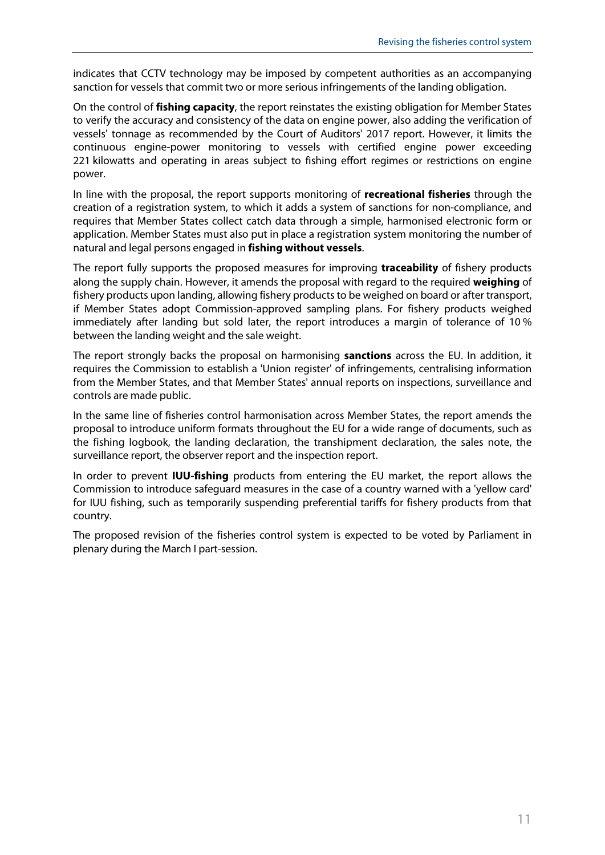indicates that CCTV technology may be imposed by competent authorities as an accompanying sanction for vessels that commit two or more serious infringements of the landing obligation.

On the control of **fishing capacity**, the report reinstates the existing obligation for Member States to verify the accuracy and consistency of the data on engine power, also adding the verification of vessels' tonnage as recommended by the Court of Auditors' 2017 report. However, it limits the continuous engine-power monitoring to vessels with certified engine power exceeding 221 kilowatts and operating in areas subject to fishing effort regimes or restrictions on engine power.

In line with the proposal, the report supports monitoring of **recreational fisheries** through the creation of a registration system, to which it adds a system of sanctions for non-compliance, and requires that Member States collect catch data through a simple, harmonised electronic form or application. Member States must also put in place a registration system monitoring the number of natural and legal persons engaged in **fishing without vessels**.

The report fully supports the proposed measures for improving **traceability** of fishery products along the supply chain. However, it amends the proposal with regard to the required **weighing** of fishery products upon landing, allowing fishery products to be weighed on board or after transport, if Member States adopt Commission-approved sampling plans. For fishery products weighed immediately after landing but sold later, the report introduces a margin of tolerance of 10 % between the landing weight and the sale weight.

The report strongly backs the proposal on harmonising **sanctions** across the EU. In addition, it requires the Commission to establish a 'Union register' of infringements, centralising information from the Member States, and that Member States' annual reports on inspections, surveillance and controls are made public.

In the same line of fisheries control harmonisation across Member States, the report amends the proposal to introduce uniform formats throughout the EU for a wide range of documents, such as the fishing logbook, the landing declaration, the transhipment declaration, the sales note, the surveillance report, the observer report and the inspection report.

In order to prevent **IUU-fishing** products from entering the EU market, the report allows the Commission to introduce safeguard measures in the case of a country warned with a 'yellow card' for IUU fishing, such as temporarily suspending preferential tariffs for fishery products from that country.

The proposed revision of the fisheries control system is expected to be voted by Parliament in plenary during the March I part-session.